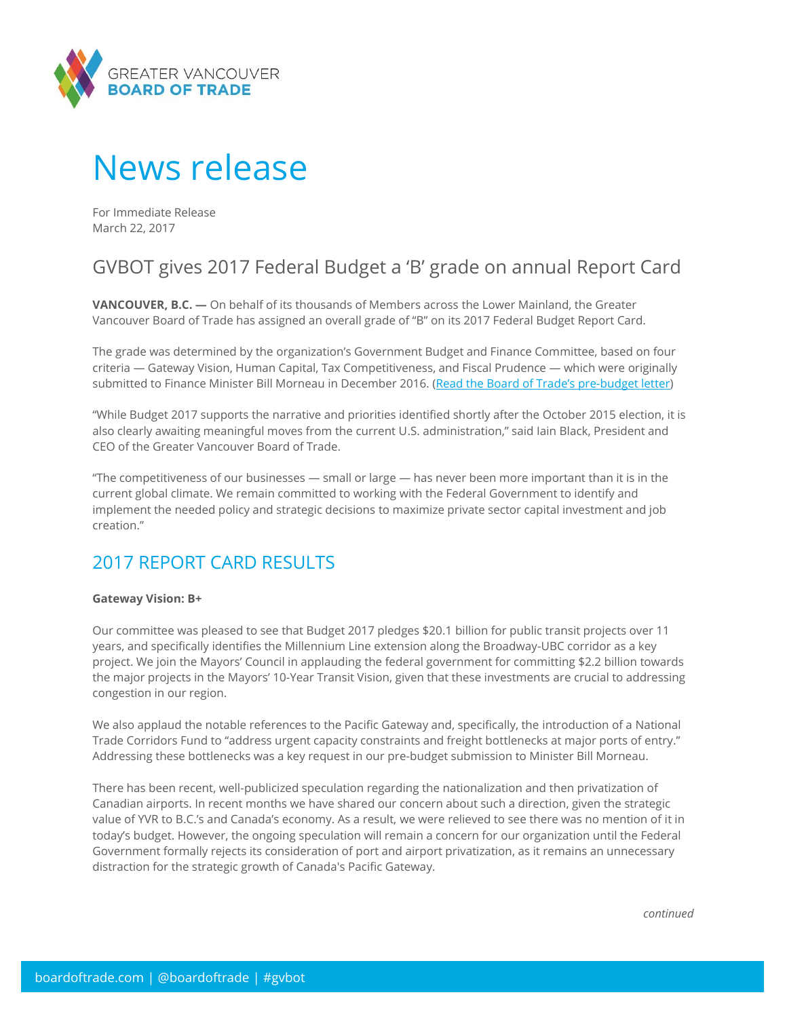

# News release

For Immediate Release March 22, 2017

## GVBOT gives 2017 Federal Budget a 'B' grade on annual Report Card

**VANCOUVER, B.C. —** On behalf of its thousands of Members across the Lower Mainland, the Greater Vancouver Board of Trade has assigned an overall grade of "B" on its 2017 Federal Budget Report Card.

The grade was determined by the organization's Government Budget and Finance Committee, based on four criteria — Gateway Vision, Human Capital, Tax Competitiveness, and Fiscal Prudence — which were originally submitted to Finance Minister Bill Morneau in December 2016. (Re[ad the Board of Trade's pre](https://www.boardoftrade.com/files/advocacy/2017-bc-election/gvbot-federal-budget-letter-2017.pdf)-budget letter)

"While Budget 2017 supports the narrative and priorities identified shortly after the October 2015 election, it is also clearly awaiting meaningful moves from the current U.S. administration," said Iain Black, President and CEO of the Greater Vancouver Board of Trade.

"The competitiveness of our businesses — small or large — has never been more important than it is in the current global climate. We remain committed to working with the Federal Government to identify and implement the needed policy and strategic decisions to maximize private sector capital investment and job creation."

### 2017 REPORT CARD RESULTS

#### **Gateway Vision: B+**

Our committee was pleased to see that Budget 2017 pledges \$20.1 billion for public transit projects over 11 years, and specifically identifies the Millennium Line extension along the Broadway-UBC corridor as a key project. We join the Mayors' Council in applauding the federal government for committing \$2.2 billion towards the major projects in the Mayors' 10-Year Transit Vision, given that these investments are crucial to addressing congestion in our region.

We also applaud the notable references to the Pacific Gateway and, specifically, the introduction of a National Trade Corridors Fund to "address urgent capacity constraints and freight bottlenecks at major ports of entry." Addressing these bottlenecks was a key request in our pre-budget submission to Minister Bill Morneau.

There has been recent, well-publicized speculation regarding the nationalization and then privatization of Canadian airports. In recent months we have shared our concern about such a direction, given the strategic value of YVR to B.C.'s and Canada's economy. As a result, we were relieved to see there was no mention of it in today's budget. However, the ongoing speculation will remain a concern for our organization until the Federal Government formally rejects its consideration of port and airport privatization, as it remains an unnecessary distraction for the strategic growth of Canada's Pacific Gateway.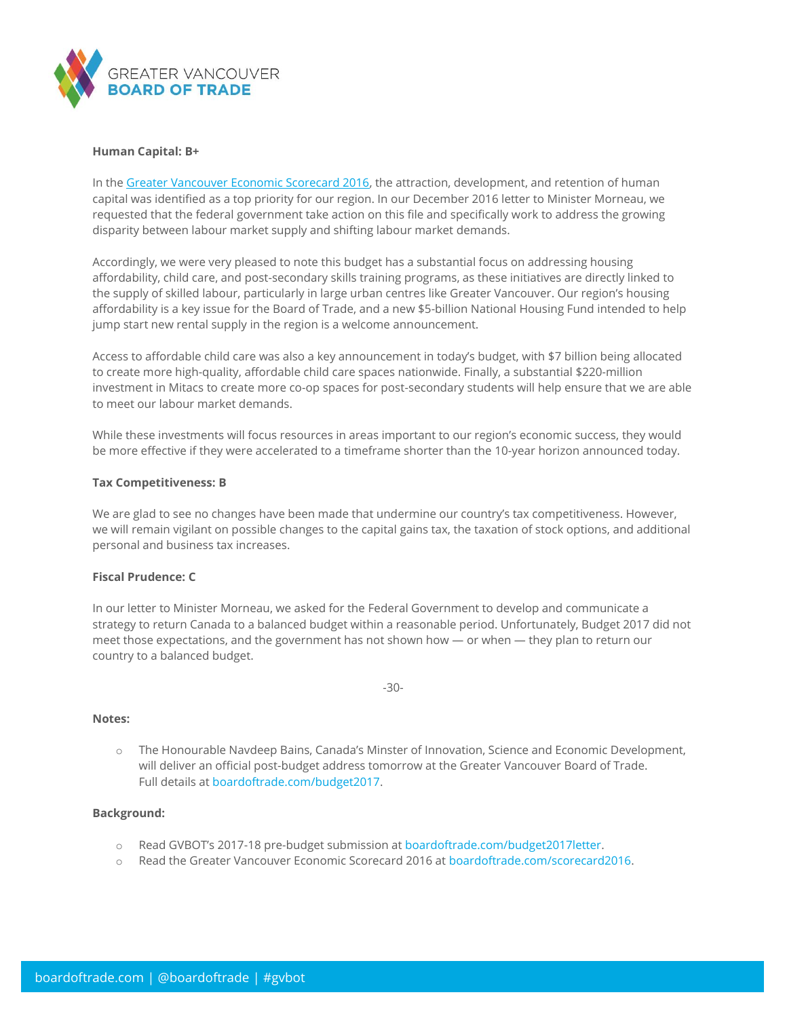

#### **Human Capital: B+**

In th[e Greater Vancouver Economic Scorecard 2016,](http://boardoftrade.com/scorecard2016/) the attraction, development, and retention of human capital was identified as a top priority for our region. In our December 2016 letter to Minister Morneau, we requested that the federal government take action on this file and specifically work to address the growing disparity between labour market supply and shifting labour market demands.

Accordingly, we were very pleased to note this budget has a substantial focus on addressing housing affordability, child care, and post-secondary skills training programs, as these initiatives are directly linked to the supply of skilled labour, particularly in large urban centres like Greater Vancouver. Our region's housing affordability is a key issue for the Board of Trade, and a new \$5-billion National Housing Fund intended to help jump start new rental supply in the region is a welcome announcement.

Access to affordable child care was also a key announcement in today's budget, with \$7 billion being allocated to create more high-quality, affordable child care spaces nationwide. Finally, a substantial \$220-million investment in Mitacs to create more co-op spaces for post-secondary students will help ensure that we are able to meet our labour market demands.

While these investments will focus resources in areas important to our region's economic success, they would be more effective if they were accelerated to a timeframe shorter than the 10-year horizon announced today.

#### **Tax Competitiveness: B**

We are glad to see no changes have been made that undermine our country's tax competitiveness. However, we will remain vigilant on possible changes to the capital gains tax, the taxation of stock options, and additional personal and business tax increases.

#### **Fiscal Prudence: C**

In our letter to Minister Morneau, we asked for the Federal Government to develop and communicate a strategy to return Canada to a balanced budget within a reasonable period. Unfortunately, Budget 2017 did not meet those expectations, and the government has not shown how — or when — they plan to return our country to a balanced budget.

-30-

#### **Notes:**

o The Honourable Navdeep Bains, Canada's Minster of Innovation, Science and Economic Development, will deliver an official post-budget address tomorrow at the Greater Vancouver Board of Trade. Full details a[t boardoftrade.com/budget2017.](https://www.boardoftrade.com/events/individual-events/987-6154)

#### **Background:**

- o Read GVBOT's 2017-18 pre-budget submission at [boardoftrade.com/budget2017letter.](https://www.boardoftrade.com/files/advocacy/2017-bc-election/gvbot-federal-budget-letter-2017.pdf)
- o Read the Greater Vancouver Economic Scorecard 2016 a[t boardoftrade.com/scorecard2016.](http://boardoftrade.com/scorecard2016/)